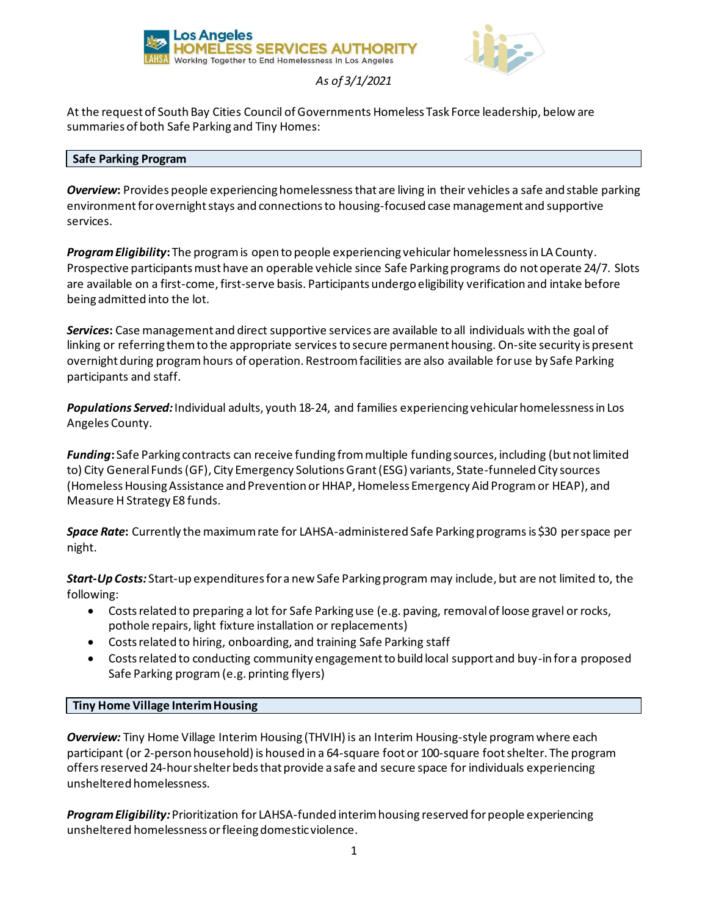



## *As of 3/1/2021*

At the request of South Bay Cities Council of Governments Homeless Task Force leadership, below are summaries of both Safe Parking and Tiny Homes:

## **Safe Parking Program**

*Overview***:** Provides people experiencing homelessness that are living in their vehicles a safe and stable parking environment for overnight stays and connections to housing-focused case management and supportive services.

*Program Eligibility***:** The program is open to people experiencing vehicular homelessness in LA County. Prospective participants must have an operable vehicle since Safe Parking programs do not operate 24/7. Slots are available on a first-come, first-serve basis. Participants undergo eligibility verification and intake before being admitted into the lot.

*Services***:** Case management and direct supportive services are available to all individuals with the goal of linking or referring them to the appropriate services to secure permanent housing. On-site security is present overnight during program hours of operation. Restroom facilities are also available for use by Safe Parking participants and staff.

*Populations Served:*Individual adults, youth 18-24, and families experiencing vehicular homelessness in Los Angeles County.

*Funding***:** Safe Parking contracts can receive funding from multiple funding sources, including (but not limited to) City General Funds(GF), City Emergency SolutionsGrant (ESG) variants, State-funneled City sources (Homeless Housing Assistance and Prevention or HHAP, Homeless Emergency Aid Program or HEAP), and Measure H Strategy E8 funds.

*Space Rate***:** Currently the maximum rate for LAHSA-administered Safe Parking programs is \$30 perspace per night.

*Start-Up Costs:* Start-up expenditures for a new Safe Parking program may include, but are not limited to, the following:

- Costsrelated to preparing a lot for Safe Parking use (e.g. paving, removal of loose gravel or rocks, pothole repairs, light fixture installation or replacements)
- Costs related to hiring, onboarding, and training Safe Parking staff
- Costs related to conducting community engagement to build local support and buy-in for a proposed Safe Parking program(e.g. printing flyers)

## **Tiny Home Village Interim Housing**

*Overview:* Tiny Home Village Interim Housing (THVIH) is an Interim Housing-style program where each participant (or 2-person household) is housed in a 64-square foot or 100-square foot shelter. The program offers reserved 24-hour shelter beds that provide a safe and secure space for individuals experiencing unsheltered homelessness.

*Program Eligibility:*Prioritization for LAHSA-funded interim housing reserved for people experiencing unsheltered homelessness orfleeing domestic violence.